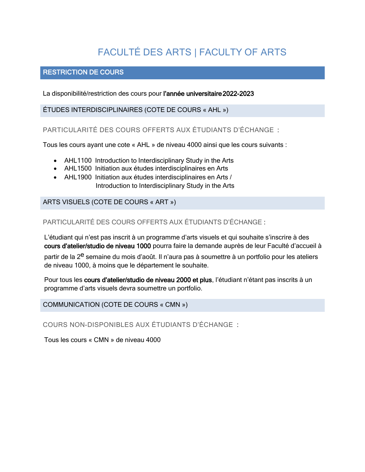# FACULTÉ DES ARTS | FACULTY OF ARTS

# RESTRICTION DE COURS

La disponibilité/restriction des cours pour l'année universitaire 2022-2023

ÉTUDES INTERDISCIPLINAIRES (COTE DE COURS « AHL »)

PARTICULARITÉ DES COURS OFFERTS AUX ÉTUDIANTS D'ÉCHANGE :

Tous les cours ayant une cote « AHL » de niveau 4000 ainsi que les cours suivants :

- AHL1100 Introduction to Interdisciplinary Study in the Arts
- AHL1500 Initiation aux études interdisciplinaires en Arts
- AHL1900 Initiation aux études interdisciplinaires en Arts / Introduction to Interdisciplinary Study in the Arts

ARTS VISUELS (COTE DE COURS « ART »)

PARTICULARITÉ DES COURS OFFERTS AUX ÉTUDIANTS D'ÉCHANGE :

L'étudiant qui n'est pas inscrit à un programme d'arts visuels et qui souhaite s'inscrire à des cours d'atelier/studio de niveau 1000 pourra faire la demande auprès de leur Faculté d'accueil à

partir de la 2<sup>e</sup> semaine du mois d'août. Il n'aura pas à soumettre à un portfolio pour les ateliers de niveau 1000, à moins que le département le souhaite.

Pour tous les cours d'atelier/studio de niveau 2000 et plus, l'étudiant n'étant pas inscrits à un programme d'arts visuels devra soumettre un portfolio.

COMMUNICATION (COTE DE COURS « CMN »)

COURS NON-DISPONIBLES AUX ÉTUDIANTS D'ÉCHANGE :

Tous les cours « CMN » de niveau 4000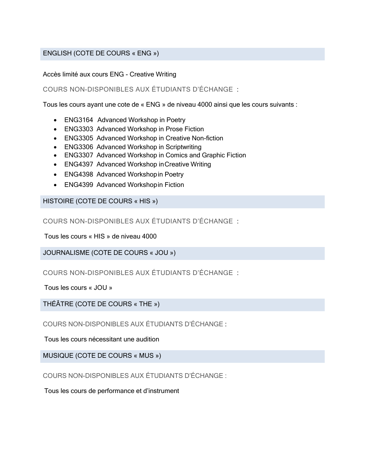# ENGLISH (COTE DE COURS « ENG »)

#### Accès limité aux cours ENG - Creative Writing

# COURS NON-DISPONIBLES AUX ÉTUDIANTS D'ÉCHANGE :

Tous les cours ayant une cote de « ENG » de niveau 4000 ainsi que les cours suivants :

- ENG3164 Advanced Workshop in Poetry
- ENG3303 Advanced Workshop in Prose Fiction
- ENG3305 Advanced Workshop in Creative Non-fiction
- ENG3306 Advanced Workshop in Scriptwriting
- ENG3307 Advanced Workshop in Comics and Graphic Fiction
- ENG4397 Advanced Workshop inCreative Writing
- ENG4398 Advanced Workshopin Poetry
- ENG4399 Advanced Workshopin Fiction

HISTOIRE (COTE DE COURS « HIS »)

COURS NON-DISPONIBLES AUX ÉTUDIANTS D'ÉCHANGE :

Tous les cours « HIS » de niveau 4000

JOURNALISME (COTE DE COURS « JOU »)

COURS NON-DISPONIBLES AUX ÉTUDIANTS D'ÉCHANGE :

Tous les cours « JOU »

THÉÂTRE (COTE DE COURS « THE »)

COURS NON-DISPONIBLES AUX ÉTUDIANTS D'ÉCHANGE :

Tous les cours nécessitant une audition

MUSIQUE (COTE DE COURS « MUS »)

COURS NON-DISPONIBLES AUX ÉTUDIANTS D'ÉCHANGE :

Tous les cours de performance et d'instrument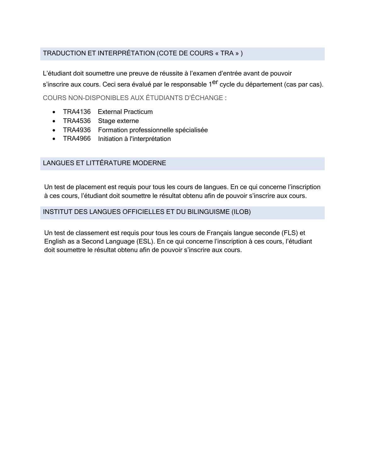# TRADUCTION ET INTERPRÉTATION (COTE DE COURS « TRA » )

L'étudiant doit soumettre une preuve de réussite à l'examen d'entrée avant de pouvoir s'inscrire aux cours. Ceci sera évalué par le responsable 1<sup>er</sup> cycle du département (cas par cas). COURS NON-DISPONIBLES AUX ÉTUDIANTS D'ÉCHANGE :

- TRA4136 External Practicum
- TRA4536 Stage externe
- TRA4936 Formation professionnelle spécialisée
- TRA4966 Initiation à l'interprétation

# LANGUES ET LITTÉRATURE MODERNE

Un test de placement est requis pour tous les cours de langues. En ce qui concerne l'inscription à ces cours, l'étudiant doit soumettre le résultat obtenu afin de pouvoir s'inscrire aux cours.

#### INSTITUT DES LANGUES OFFICIELLES ET DU BILINGUISME (ILOB)

Un test de classement est requis pour tous les cours de Français langue seconde (FLS) et English as a Second Language (ESL). En ce qui concerne l'inscription à ces cours, l'étudiant doit soumettre le résultat obtenu afin de pouvoir s'inscrire aux cours.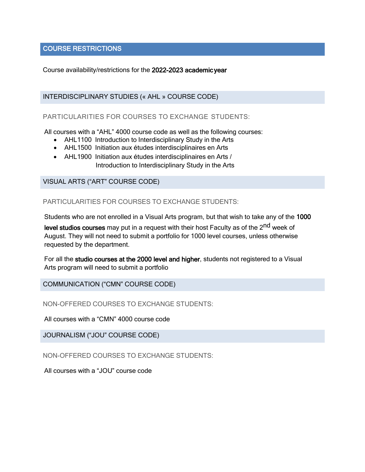# COURSE RESTRICTIONS

Course availability/restrictions for the 2022-2023 academic year

#### INTERDISCIPLINARY STUDIES (« AHL » COURSE CODE)

#### PARTICULARITIES FOR COURSES TO EXCHANGE STUDENTS:

All courses with a "AHL" 4000 course code as well as the following courses:

- AHL1100 Introduction to Interdisciplinary Study in the Arts
- AHL1500 Initiation aux études interdisciplinaires en Arts
- AHL1900 Initiation aux études interdisciplinaires en Arts / Introduction to Interdisciplinary Study in the Arts

#### VISUAL ARTS ("ART" COURSE CODE)

PARTICULARITIES FOR COURSES TO EXCHANGE STUDENTS:

Students who are not enrolled in a Visual Arts program, but that wish to take any of the 1000

level studios courses may put in a request with their host Faculty as of the 2<sup>nd</sup> week of August. They will not need to submit a portfolio for 1000 level courses, unless otherwise requested by the department.

For all the studio courses at the 2000 level and higher, students not registered to a Visual Arts program will need to submit a portfolio

COMMUNICATION ("CMN" COURSE CODE)

NON-OFFERED COURSES TO EXCHANGE STUDENTS:

All courses with a "CMN" 4000 course code

JOURNALISM ("JOU" COURSE CODE)

NON-OFFERED COURSES TO EXCHANGE STUDENTS:

All courses with a "JOU" course code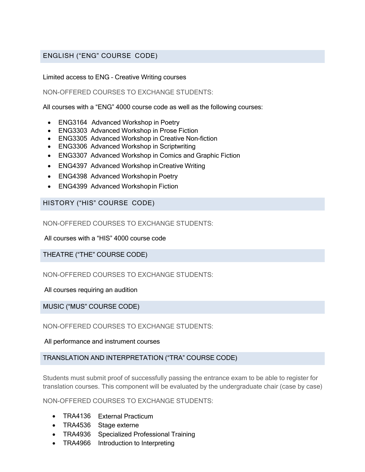# ENGLISH ("ENG" COURSE CODE)

#### Limited access to ENG – Creative Writing courses

#### NON-OFFERED COURSES TO EXCHANGE STUDENTS:

All courses with a "ENG" 4000 course code as well as the following courses:

- ENG3164 Advanced Workshop in Poetry
- ENG3303 Advanced Workshop in Prose Fiction
- ENG3305 Advanced Workshop in Creative Non-fiction
- ENG3306 Advanced Workshop in Scriptwriting
- ENG3307 Advanced Workshop in Comics and Graphic Fiction
- ENG4397 Advanced Workshop inCreative Writing
- ENG4398 Advanced Workshopin Poetry
- ENG4399 Advanced Workshopin Fiction

#### HISTORY ("HIS" COURSE CODE)

NON-OFFERED COURSES TO EXCHANGE STUDENTS:

All courses with a "HIS" 4000 course code

THEATRE ("THE" COURSE CODE)

NON-OFFERED COURSES TO EXCHANGE STUDENTS:

All courses requiring an audition

MUSIC ("MUS" COURSE CODE)

NON-OFFERED COURSES TO EXCHANGE STUDENTS:

All performance and instrument courses

# TRANSLATION AND INTERPRETATION ("TRA" COURSE CODE)

Students must submit proof of successfully passing the entrance exam to be able to register for translation courses. This component will be evaluated by the undergraduate chair (case by case)

NON-OFFERED COURSES TO EXCHANGE STUDENTS:

- TRA4136 External Practicum
- TRA4536 Stage externe
- TRA4936 Specialized Professional Training
- TRA4966 Introduction to Interpreting